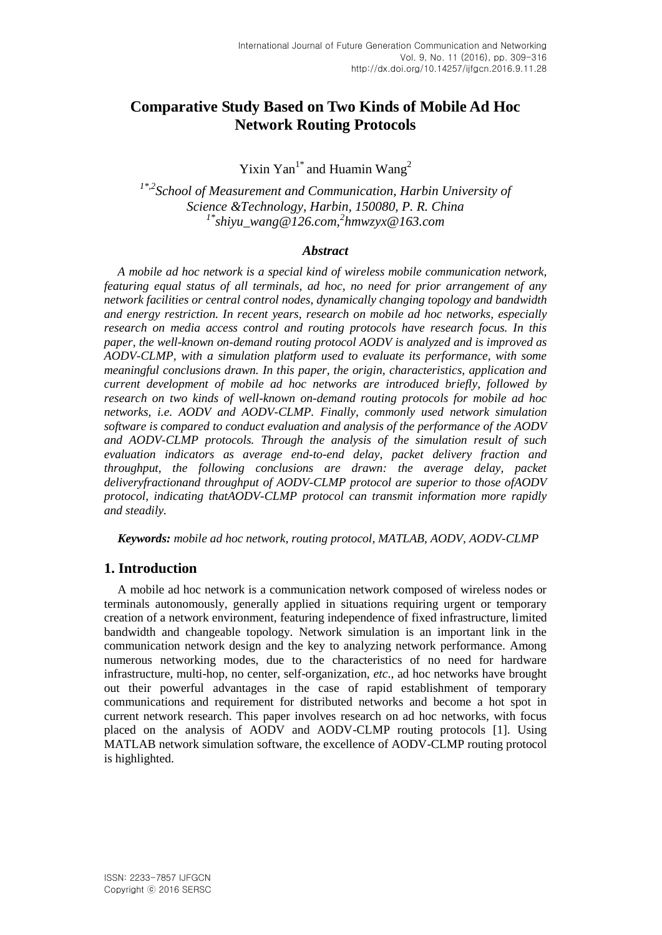# **Comparative Study Based on Two Kinds of Mobile Ad Hoc Network Routing Protocols**

Yixin Yan<sup>1\*</sup> and Huamin Wang<sup>2</sup>

*1\*,2 School of Measurement and Communication, Harbin University of Science &Technology, Harbin, 150080, P. R. China 1\* shiyu\_wang@126.com,<sup>2</sup> hmwzyx@163.com*

### *Abstract*

*A mobile ad hoc network is a special kind of wireless mobile communication network, featuring equal status of all terminals, ad hoc, no need for prior arrangement of any network facilities or central control nodes, dynamically changing topology and bandwidth and energy restriction. In recent years, research on mobile ad hoc networks, especially research on media access control and routing protocols have research focus. In this paper, the well-known on-demand routing protocol AODV is analyzed and is improved as AODV-CLMP, with a simulation platform used to evaluate its performance, with some meaningful conclusions drawn. In this paper, the origin, characteristics, application and current development of mobile ad hoc networks are introduced briefly, followed by research on two kinds of well-known on-demand routing protocols for mobile ad hoc networks, i.e. AODV and AODV-CLMP. Finally, commonly used network simulation software is compared to conduct evaluation and analysis of the performance of the AODV and AODV-CLMP protocols. Through the analysis of the simulation result of such evaluation indicators as average end-to-end delay, packet delivery fraction and throughput, the following conclusions are drawn: the average delay, packet deliveryfractionand throughput of AODV-CLMP protocol are superior to those ofAODV protocol, indicating thatAODV-CLMP protocol can transmit information more rapidly and steadily.* 

*Keywords: mobile ad hoc network, routing protocol, MATLAB, AODV, AODV-CLMP*

# **1. Introduction**

A mobile ad hoc network is a communication network composed of wireless nodes or terminals autonomously, generally applied in situations requiring urgent or temporary creation of a network environment, featuring independence of fixed infrastructure, limited bandwidth and changeable topology. Network simulation is an important link in the communication network design and the key to analyzing network performance. Among numerous networking modes, due to the characteristics of no need for hardware infrastructure, multi-hop, no center, self-organization, *etc*., ad hoc networks have brought out their powerful advantages in the case of rapid establishment of temporary communications and requirement for distributed networks and become a hot spot in current network research. This paper involves research on ad hoc networks, with focus placed on the analysis of AODV and AODV-CLMP routing protocols [1]. Using MATLAB network simulation software, the excellence of AODV-CLMP routing protocol is highlighted.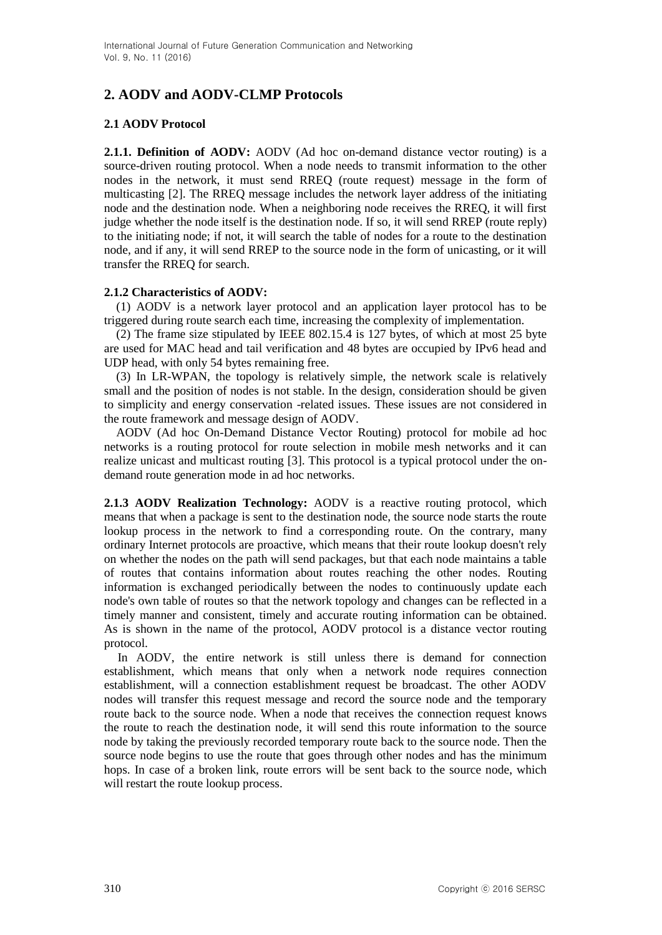# **2. AODV and AODV-CLMP Protocols**

## **2.1 AODV Protocol**

**2.1.1. Definition of AODV:** AODV (Ad hoc on-demand distance vector routing) is a source-driven routing protocol. When a node needs to transmit information to the other nodes in the network, it must send RREQ (route request) message in the form of multicasting [2]. The RREQ message includes the network layer address of the initiating node and the destination node. When a neighboring node receives the RREQ, it will first judge whether the node itself is the destination node. If so, it will send RREP (route reply) to the initiating node; if not, it will search the table of nodes for a route to the destination node, and if any, it will send RREP to the source node in the form of unicasting, or it will transfer the RREQ for search.

### **2.1.2 Characteristics of AODV:**

(1) AODV is a network layer protocol and an application layer protocol has to be triggered during route search each time, increasing the complexity of implementation.

(2) The frame size stipulated by IEEE 802.15.4 is 127 bytes, of which at most 25 byte are used for MAC head and tail verification and 48 bytes are occupied by IPv6 head and UDP head, with only 54 bytes remaining free.

(3) In LR-WPAN, the topology is relatively simple, the network scale is relatively small and the position of nodes is not stable. In the design, consideration should be given to simplicity and energy conservation -related issues. These issues are not considered in the route framework and message design of AODV.

AODV (Ad hoc On-Demand Distance Vector Routing) protocol for mobile ad hoc networks is a routing protocol for route selection in mobile mesh networks and it can realize unicast and multicast routing [3]. This protocol is a typical protocol under the ondemand route generation mode in ad hoc networks.

**2.1.3 AODV Realization Technology:** AODV is a reactive routing protocol, which means that when a package is sent to the destination node, the source node starts the route lookup process in the network to find a corresponding route. On the contrary, many ordinary Internet protocols are proactive, which means that their route lookup doesn't rely on whether the nodes on the path will send packages, but that each node maintains a table of routes that contains information about routes reaching the other nodes. Routing information is exchanged periodically between the nodes to continuously update each node's own table of routes so that the network topology and changes can be reflected in a timely manner and consistent, timely and accurate routing information can be obtained. As is shown in the name of the protocol, AODV protocol is a distance vector routing protocol.

In AODV, the entire network is still unless there is demand for connection establishment, which means that only when a network node requires connection establishment, will a connection establishment request be broadcast. The other AODV nodes will transfer this request message and record the source node and the temporary route back to the source node. When a node that receives the connection request knows the route to reach the destination node, it will send this route information to the source node by taking the previously recorded temporary route back to the source node. Then the source node begins to use the route that goes through other nodes and has the minimum hops. In case of a broken link, route errors will be sent back to the source node, which will restart the route lookup process.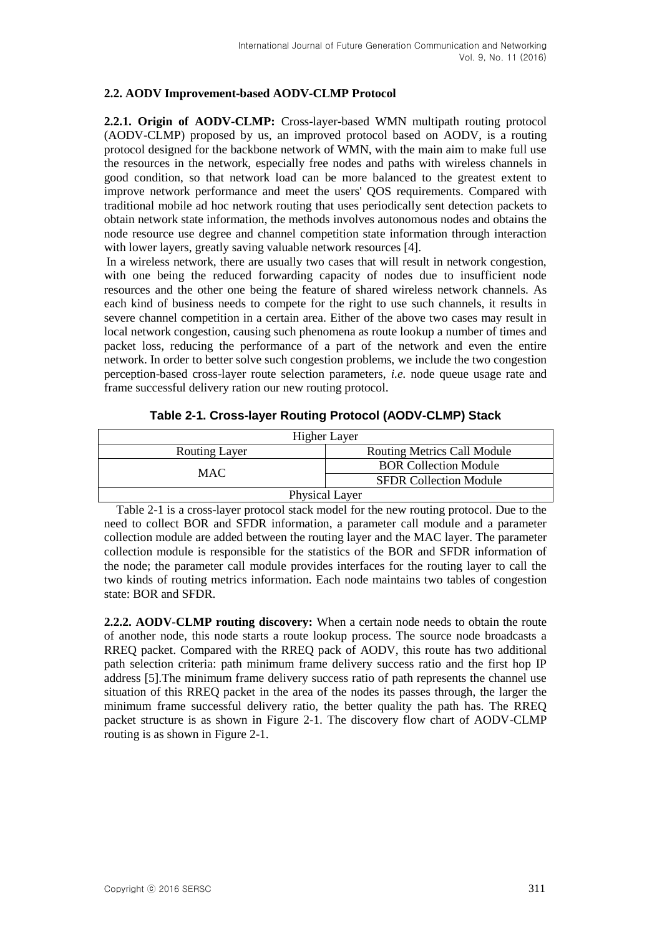### **2.2. AODV Improvement-based AODV-CLMP Protocol**

**2.2.1. Origin of AODV-CLMP:** Cross-layer-based WMN multipath routing protocol (AODV-CLMP) proposed by us, an improved protocol based on AODV, is a routing protocol designed for the backbone network of WMN, with the main aim to make full use the resources in the network, especially free nodes and paths with wireless channels in good condition, so that network load can be more balanced to the greatest extent to improve network performance and meet the users' QOS requirements. Compared with traditional mobile ad hoc network routing that uses periodically sent detection packets to obtain network state information, the methods involves autonomous nodes and obtains the node resource use degree and channel competition state information through interaction with lower layers, greatly saving valuable network resources [4].

In a wireless network, there are usually two cases that will result in network congestion, with one being the reduced forwarding capacity of nodes due to insufficient node resources and the other one being the feature of shared wireless network channels. As each kind of business needs to compete for the right to use such channels, it results in severe channel competition in a certain area. Either of the above two cases may result in local network congestion, causing such phenomena as route lookup a number of times and packet loss, reducing the performance of a part of the network and even the entire network. In order to better solve such congestion problems, we include the two congestion perception-based cross-layer route selection parameters, *i.e.* node queue usage rate and frame successful delivery ration our new routing protocol.

| Higher Layer  |                                    |
|---------------|------------------------------------|
| Routing Layer | <b>Routing Metrics Call Module</b> |
| MAC.          | <b>BOR Collection Module</b>       |
|               | <b>SFDR Collection Module</b>      |

#### **Table 2-1. Cross-layer Routing Protocol (AODV-CLMP) Stack**

#### Physical Layer

Table 2-1 is a cross-layer protocol stack model for the new routing protocol. Due to the need to collect BOR and SFDR information, a parameter call module and a parameter collection module are added between the routing layer and the MAC layer. The parameter collection module is responsible for the statistics of the BOR and SFDR information of the node; the parameter call module provides interfaces for the routing layer to call the two kinds of routing metrics information. Each node maintains two tables of congestion state: BOR and SFDR.

**2.2.2. AODV-CLMP routing discovery:** When a certain node needs to obtain the route of another node, this node starts a route lookup process. The source node broadcasts a RREQ packet. Compared with the RREQ pack of AODV, this route has two additional path selection criteria: path minimum frame delivery success ratio and the first hop IP address [5].The minimum frame delivery success ratio of path represents the channel use situation of this RREQ packet in the area of the nodes its passes through, the larger the minimum frame successful delivery ratio, the better quality the path has. The RREQ packet structure is as shown in Figure 2-1. The discovery flow chart of AODV-CLMP routing is as shown in Figure 2-1.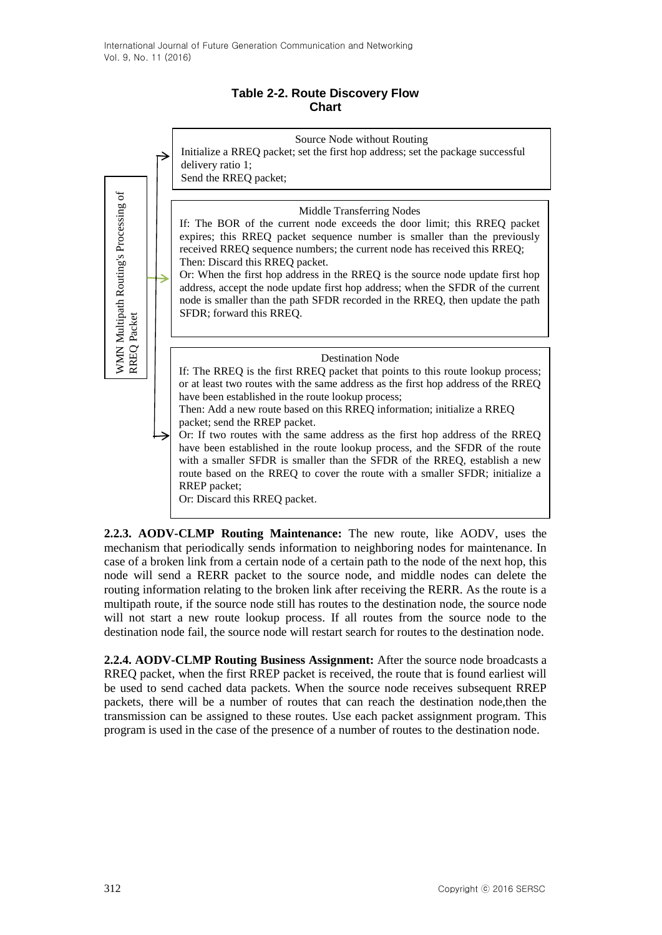## **Table 2-2. Route Discovery Flow Chart**



**2.2.3. AODV-CLMP Routing Maintenance:** The new route, like AODV, uses the mechanism that periodically sends information to neighboring nodes for maintenance. In case of a broken link from a certain node of a certain path to the node of the next hop, this node will send a RERR packet to the source node, and middle nodes can delete the routing information relating to the broken link after receiving the RERR. As the route is a multipath route, if the source node still has routes to the destination node, the source node will not start a new route lookup process. If all routes from the source node to the destination node fail, the source node will restart search for routes to the destination node.

**2.2.4. AODV-CLMP Routing Business Assignment:** After the source node broadcasts a RREQ packet, when the first RREP packet is received, the route that is found earliest will be used to send cached data packets. When the source node receives subsequent RREP packets, there will be a number of routes that can reach the destination node,then the transmission can be assigned to these routes. Use each packet assignment program. This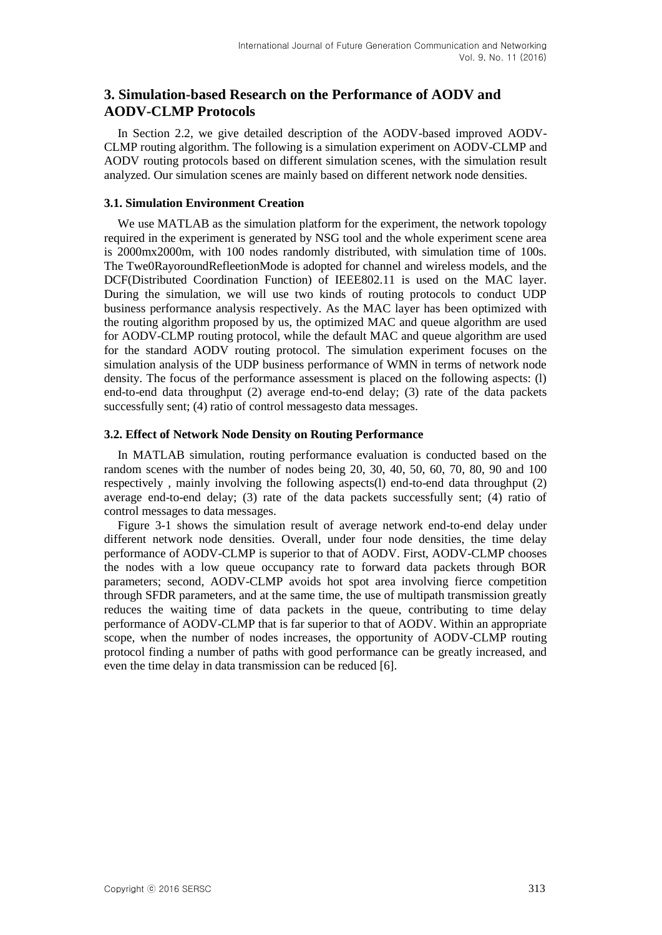# **3. Simulation-based Research on the Performance of AODV and AODV-CLMP Protocols**

In Section 2.2, we give detailed description of the AODV-based improved AODV-CLMP routing algorithm. The following is a simulation experiment on AODV-CLMP and AODV routing protocols based on different simulation scenes, with the simulation result analyzed. Our simulation scenes are mainly based on different network node densities.

#### **3.1. Simulation Environment Creation**

We use MATLAB as the simulation platform for the experiment, the network topology required in the experiment is generated by NSG tool and the whole experiment scene area is 2000mx2000m, with 100 nodes randomly distributed, with simulation time of 100s. The Twe0RayoroundRefleetionMode is adopted for channel and wireless models, and the DCF(Distributed Coordination Function) of IEEE802.11 is used on the MAC layer. During the simulation, we will use two kinds of routing protocols to conduct UDP business performance analysis respectively. As the MAC layer has been optimized with the routing algorithm proposed by us, the optimized MAC and queue algorithm are used for AODV-CLMP routing protocol, while the default MAC and queue algorithm are used for the standard AODV routing protocol. The simulation experiment focuses on the simulation analysis of the UDP business performance of WMN in terms of network node density. The focus of the performance assessment is placed on the following aspects: (l) end-to-end data throughput (2) average end-to-end delay; (3) rate of the data packets successfully sent; (4) ratio of control messagesto data messages.

### **3.2. Effect of Network Node Density on Routing Performance**

In MATLAB simulation, routing performance evaluation is conducted based on the random scenes with the number of nodes being 20, 30, 40, 50, 60, 70, 80, 90 and 100 respectively , mainly involving the following aspects(l) end-to-end data throughput (2) average end-to-end delay; (3) rate of the data packets successfully sent; (4) ratio of control messages to data messages.

Figure 3-1 shows the simulation result of average network end-to-end delay under different network node densities. Overall, under four node densities, the time delay performance of AODV-CLMP is superior to that of AODV. First, AODV-CLMP chooses the nodes with a low queue occupancy rate to forward data packets through BOR parameters; second, AODV-CLMP avoids hot spot area involving fierce competition through SFDR parameters, and at the same time, the use of multipath transmission greatly reduces the waiting time of data packets in the queue, contributing to time delay performance of AODV-CLMP that is far superior to that of AODV. Within an appropriate scope, when the number of nodes increases, the opportunity of AODV-CLMP routing protocol finding a number of paths with good performance can be greatly increased, and even the time delay in data transmission can be reduced [6].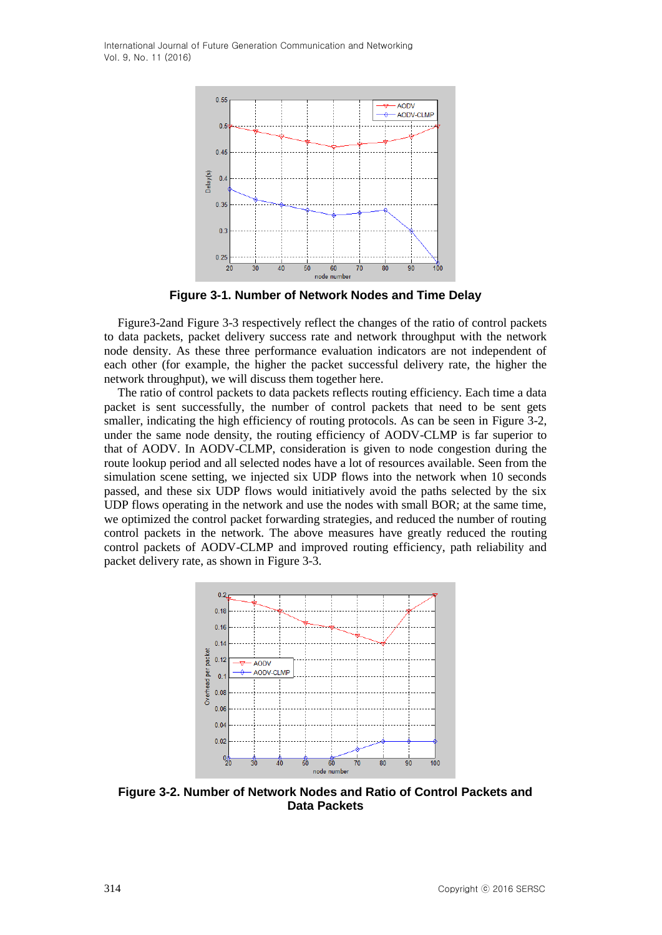International Journal of Future Generation Communication and Networking Vol. 9, No. 11 (2016)



**Figure 3-1. Number of Network Nodes and Time Delay**

Figure3-2and Figure 3-3 respectively reflect the changes of the ratio of control packets to data packets, packet delivery success rate and network throughput with the network node density. As these three performance evaluation indicators are not independent of each other (for example, the higher the packet successful delivery rate, the higher the network throughput), we will discuss them together here.

The ratio of control packets to data packets reflects routing efficiency. Each time a data packet is sent successfully, the number of control packets that need to be sent gets smaller, indicating the high efficiency of routing protocols. As can be seen in Figure 3-2, under the same node density, the routing efficiency of AODV-CLMP is far superior to that of AODV. In AODV-CLMP, consideration is given to node congestion during the route lookup period and all selected nodes have a lot of resources available. Seen from the simulation scene setting, we injected six UDP flows into the network when 10 seconds passed, and these six UDP flows would initiatively avoid the paths selected by the six UDP flows operating in the network and use the nodes with small BOR; at the same time, we optimized the control packet forwarding strategies, and reduced the number of routing control packets in the network. The above measures have greatly reduced the routing control packets of AODV-CLMP and improved routing efficiency, path reliability and packet delivery rate, as shown in Figure 3-3.



**Figure 3-2. Number of Network Nodes and Ratio of Control Packets and Data Packets**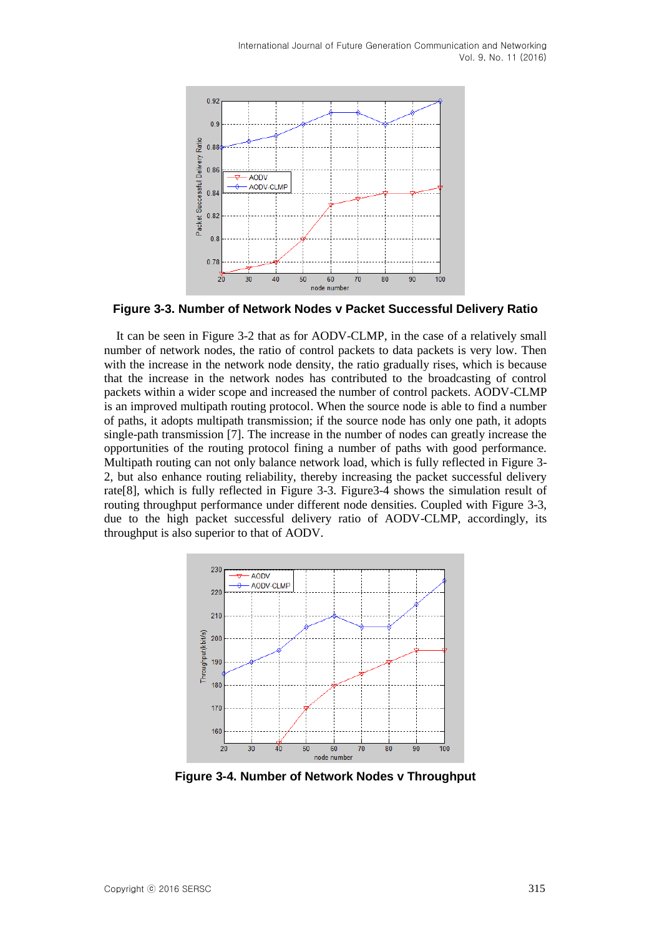

**Figure 3-3. Number of Network Nodes v Packet Successful Delivery Ratio**

It can be seen in Figure 3-2 that as for AODV-CLMP, in the case of a relatively small number of network nodes, the ratio of control packets to data packets is very low. Then with the increase in the network node density, the ratio gradually rises, which is because that the increase in the network nodes has contributed to the broadcasting of control packets within a wider scope and increased the number of control packets. AODV-CLMP is an improved multipath routing protocol. When the source node is able to find a number of paths, it adopts multipath transmission; if the source node has only one path, it adopts single-path transmission [7]. The increase in the number of nodes can greatly increase the opportunities of the routing protocol fining a number of paths with good performance. Multipath routing can not only balance network load, which is fully reflected in Figure 3- 2, but also enhance routing reliability, thereby increasing the packet successful delivery rate[8], which is fully reflected in Figure 3-3. Figure3-4 shows the simulation result of routing throughput performance under different node densities. Coupled with Figure 3-3, due to the high packet successful delivery ratio of AODV-CLMP, accordingly, its throughput is also superior to that of AODV.



**Figure 3-4. Number of Network Nodes v Throughput**